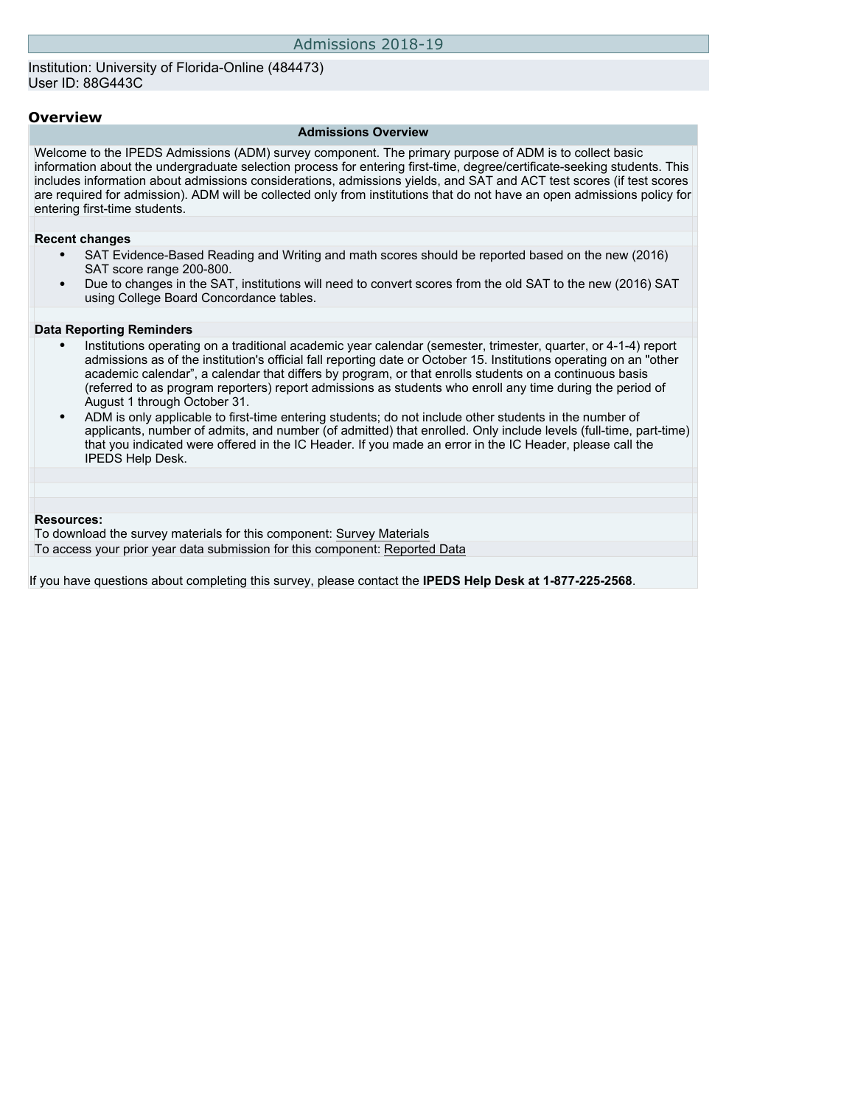### **Overview**

#### **Admissions Overview**

Welcome to the IPEDS Admissions (ADM) survey component. The primary purpose of ADM is to collect basic information about the undergraduate selection process for entering first-time, degree/certificate-seeking students. This includes information about admissions considerations, admissions yields, and SAT and ACT test scores (if test scores are required for admission). ADM will be collected only from institutions that do not have an open admissions policy for entering first-time students.

#### **Recent changes**

- SAT Evidence-Based Reading and Writing and math scores should be reported based on the new (2016) SAT score range 200-800.
- Due to changes in the SAT, institutions will need to convert scores from the old SAT to the new (2016) SAT using College Board Concordance tables.

#### **Data Reporting Reminders**

- Institutions operating on a traditional academic year calendar (semester, trimester, quarter, or 4-1-4) report admissions as of the institution's official fall reporting date or October 15. Institutions operating on an "other academic calendar", a calendar that differs by program, or that enrolls students on a continuous basis (referred to as program reporters) report admissions as students who enroll any time during the period of August 1 through October 31.
- ADM is only applicable to first-time entering students; do not include other students in the number of applicants, number of admits, and number (of admitted) that enrolled. Only include levels (full-time, part-time) that you indicated were offered in the IC Header. If you made an error in the IC Header, please call the IPEDS Help Desk.

### **Resources:**

To download the survey materials for this component: [Survey Materials](https://surveys.nces.ed.gov/ipeds/VisIndex.aspx) To access your prior year data submission for this component: [Reported Data](http://192.168.102.153/ipeds/PriorYearDataRedirect.aspx?survey_id=14)

If you have questions about completing this survey, please contact the **IPEDS Help Desk at 1-877-225-2568**.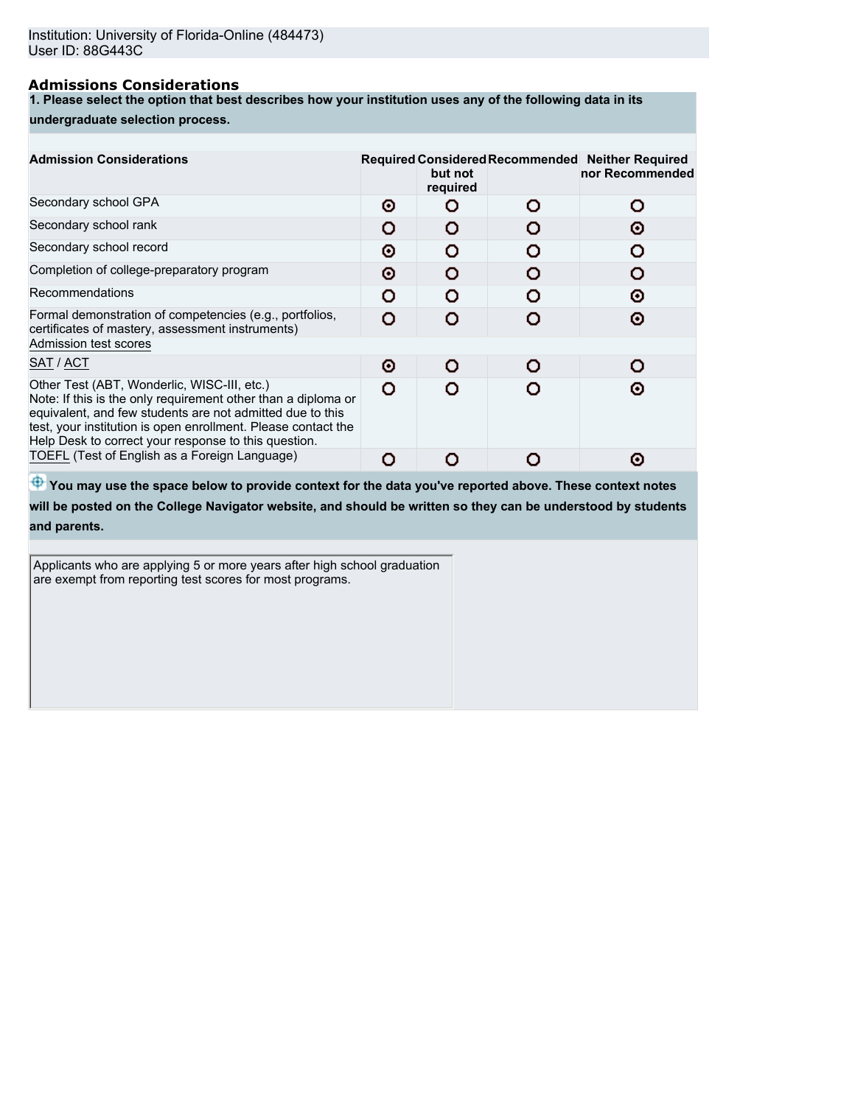## **Admissions Considerations**

**1. Please select the option that best describes how your institution uses any of the following data in its**

### **undergraduate selection process.**

| <b>Admission Considerations</b>                                                                                                                                                                                                                                                                    |   | but not<br>required | Required Considered Recommended Neither Required<br>nor Recommended |
|----------------------------------------------------------------------------------------------------------------------------------------------------------------------------------------------------------------------------------------------------------------------------------------------------|---|---------------------|---------------------------------------------------------------------|
| Secondary school GPA                                                                                                                                                                                                                                                                               | Θ | n                   | Ο                                                                   |
| Secondary school rank                                                                                                                                                                                                                                                                              | O | o                   | Θ                                                                   |
| Secondary school record                                                                                                                                                                                                                                                                            | Θ | Ω                   |                                                                     |
| Completion of college-preparatory program                                                                                                                                                                                                                                                          | o | o                   |                                                                     |
| Recommendations                                                                                                                                                                                                                                                                                    | റ | Ω                   | ⊙                                                                   |
| Formal demonstration of competencies (e.g., portfolios,<br>certificates of mastery, assessment instruments)                                                                                                                                                                                        | O |                     | Θ                                                                   |
| Admission test scores                                                                                                                                                                                                                                                                              |   |                     |                                                                     |
| SAT / ACT                                                                                                                                                                                                                                                                                          | Θ | n                   | O                                                                   |
| Other Test (ABT, Wonderlic, WISC-III, etc.)<br>Note: If this is the only requirement other than a diploma or<br>equivalent, and few students are not admitted due to this<br>test, your institution is open enrollment. Please contact the<br>Help Desk to correct your response to this question. | o |                     | ര                                                                   |
| TOEFL (Test of English as a Foreign Language)                                                                                                                                                                                                                                                      |   |                     | О                                                                   |
|                                                                                                                                                                                                                                                                                                    |   |                     |                                                                     |

 $\bigoplus$  **You may use the space below to provide context for the data you've reported above. These context notes** 

**will be posted on the College Navigator website, and should be written so they can be understood by students and parents.**

Applicants who are applying 5 or more years after high school graduation are exempt from reporting test scores for most programs.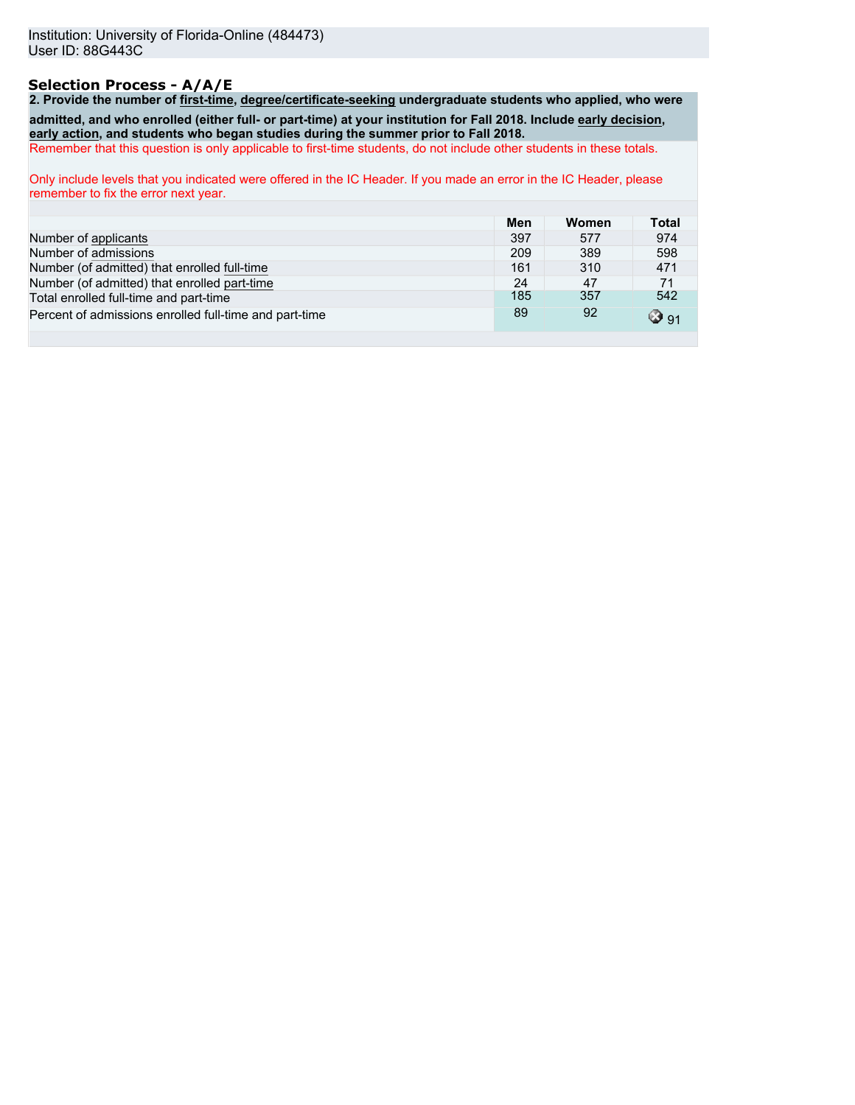# **Selection Process - A/A/E**

**2. Provide the number of first-time, degree/certificate-seeking undergraduate students who applied, who were admitted, and who enrolled (either full- or part-time) at your institution for Fall 2018. Include early decision, early action, and students who began studies during the summer prior to Fall 2018.** Remember that this question is only applicable to first-time students, do not include other students in these totals.

Only include levels that you indicated were offered in the IC Header. If you made an error in the IC Header, please remember to fix the error next year.

|                                                        | Men | Women | <b>Total</b> |
|--------------------------------------------------------|-----|-------|--------------|
| Number of applicants                                   | 397 | 577   | 974          |
| Number of admissions                                   | 209 | 389   | 598          |
| Number (of admitted) that enrolled full-time           | 161 | 310   | 471          |
| Number (of admitted) that enrolled part-time           | 24  | 47    | 71           |
| Total enrolled full-time and part-time                 | 185 | 357   | 542          |
| Percent of admissions enrolled full-time and part-time | 89  | 92    | ☺91          |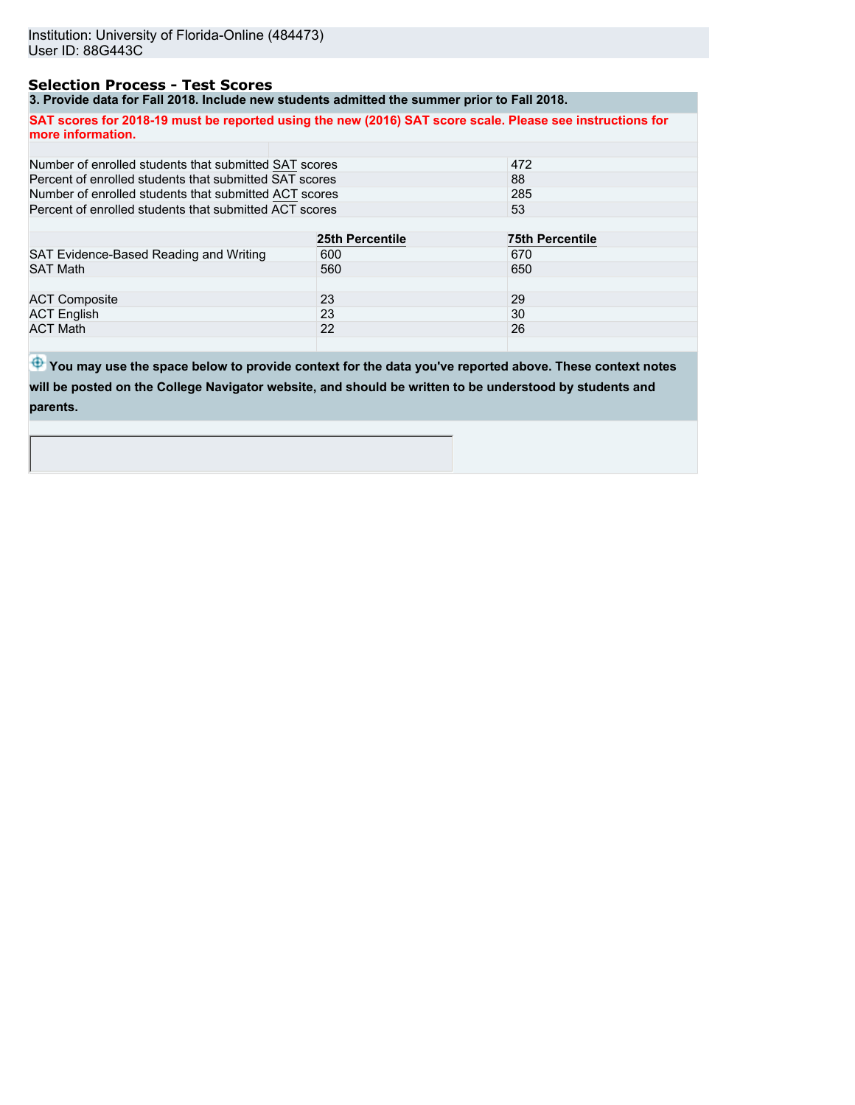## **Selection Process - Test Scores**

**3. Provide data for Fall 2018. Include new students admitted the summer prior to Fall 2018.**

**SAT scores for 2018-19 must be reported using the new (2016) SAT score scale. Please see instructions for more information.**

| Number of enrolled students that submitted SAT scores  | 472             |                        |  |
|--------------------------------------------------------|-----------------|------------------------|--|
| Percent of enrolled students that submitted SAT scores |                 | 88                     |  |
| Number of enrolled students that submitted ACT scores  | 285             |                        |  |
| Percent of enrolled students that submitted ACT scores |                 | 53                     |  |
|                                                        |                 |                        |  |
|                                                        | 25th Percentile | <b>75th Percentile</b> |  |
| SAT Evidence-Based Reading and Writing                 | 600             | 670                    |  |
| <b>SAT Math</b>                                        | 560             | 650                    |  |
|                                                        |                 |                        |  |
| <b>ACT Composite</b>                                   | 23              | 29                     |  |
| <b>ACT English</b>                                     | 23              | 30                     |  |
| <b>ACT Math</b>                                        | 22              | 26                     |  |
|                                                        |                 |                        |  |

 $\bigoplus$  **You may use the space below to provide context for the data you've reported above. These context notes will be posted on the College Navigator website, and should be written to be understood by students and parents.**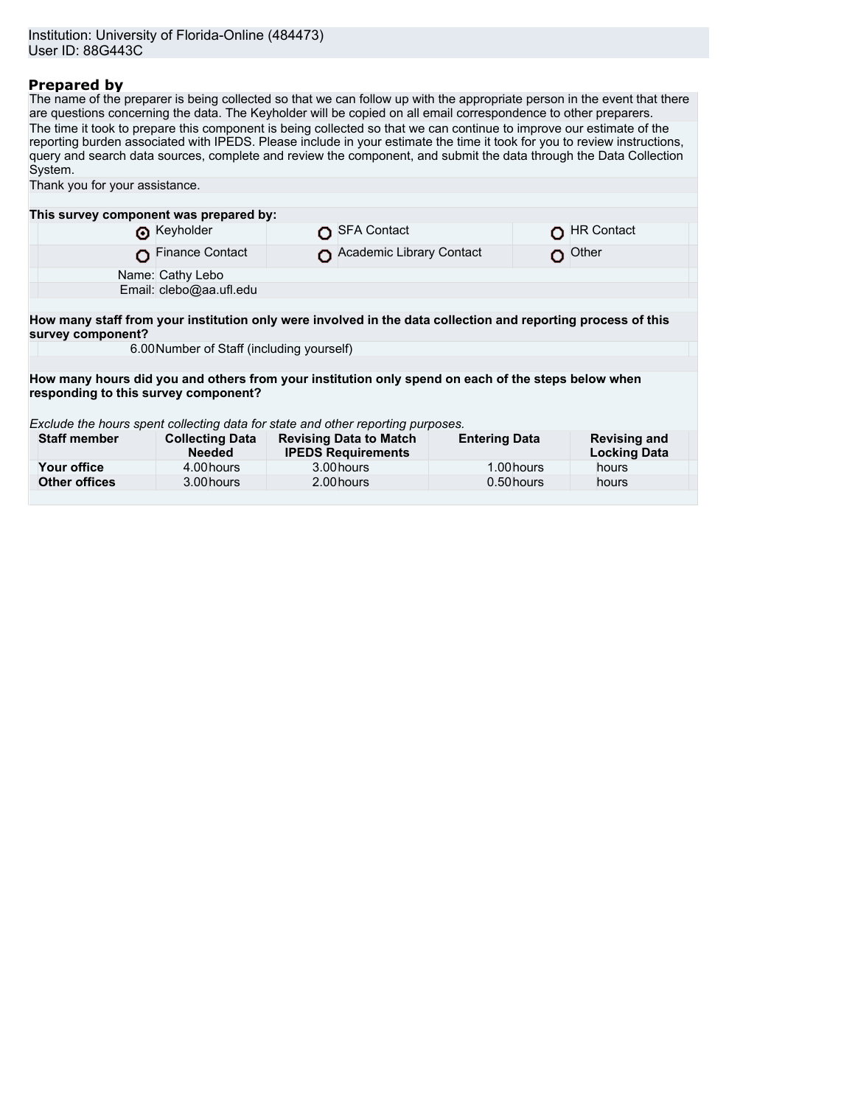## **Prepared by**

The name of the preparer is being collected so that we can follow up with the appropriate person in the event that there are questions concerning the data. The Keyholder will be copied on all email correspondence to other preparers. The time it took to prepare this component is being collected so that we can continue to improve our estimate of the reporting burden associated with IPEDS. Please include in your estimate the time it took for you to review instructions, query and search data sources, complete and review the component, and submit the data through the Data Collection System. Thank you for your assistance.

| This survey component was prepared by:                                                                                            |                                           |  |                                                            |                      |  |                                            |  |
|-----------------------------------------------------------------------------------------------------------------------------------|-------------------------------------------|--|------------------------------------------------------------|----------------------|--|--------------------------------------------|--|
|                                                                                                                                   | Reyholder                                 |  | SFA Contact                                                |                      |  | <b>HR Contact</b>                          |  |
|                                                                                                                                   | Finance Contact                           |  | Academic Library Contact                                   |                      |  | Other                                      |  |
|                                                                                                                                   | Name: Cathy Lebo                          |  |                                                            |                      |  |                                            |  |
|                                                                                                                                   | Email: clebo@aa.ufl.edu                   |  |                                                            |                      |  |                                            |  |
|                                                                                                                                   |                                           |  |                                                            |                      |  |                                            |  |
| How many staff from your institution only were involved in the data collection and reporting process of this<br>survey component? |                                           |  |                                                            |                      |  |                                            |  |
|                                                                                                                                   | 6.00 Number of Staff (including yourself) |  |                                                            |                      |  |                                            |  |
|                                                                                                                                   |                                           |  |                                                            |                      |  |                                            |  |
| How many hours did you and others from your institution only spend on each of the steps below when                                |                                           |  |                                                            |                      |  |                                            |  |
| responding to this survey component?                                                                                              |                                           |  |                                                            |                      |  |                                            |  |
| Exclude the hours spent collecting data for state and other reporting purposes.                                                   |                                           |  |                                                            |                      |  |                                            |  |
| <b>Staff member</b>                                                                                                               | <b>Collecting Data</b><br><b>Needed</b>   |  | <b>Revising Data to Match</b><br><b>IPEDS Requirements</b> | <b>Entering Data</b> |  | <b>Revising and</b><br><b>Locking Data</b> |  |
| Your office                                                                                                                       | 4.00 hours                                |  | 3.00 hours                                                 | 1.00 hours           |  | hours                                      |  |
| <b>Other offices</b>                                                                                                              | 3.00 hours                                |  | 2.00 hours                                                 | 0.50 hours           |  | hours                                      |  |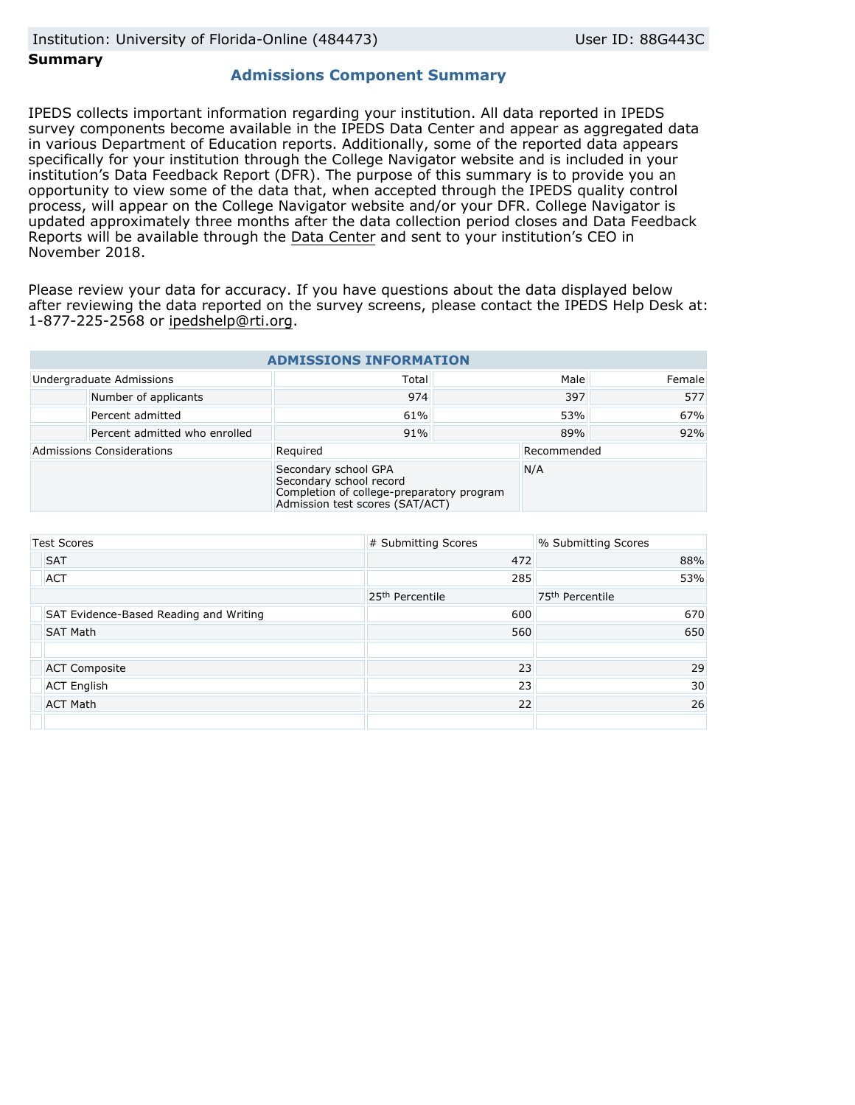### **Summary**

## **Admissions Component Summary**

IPEDS collects important information regarding your institution. All data reported in IPEDS survey components become available in the IPEDS Data Center and appear as aggregated data in various Department of Education reports. Additionally, some of the reported data appears specifically for your institution through the College Navigator website and is included in your institution's Data Feedback Report (DFR). The purpose of this summary is to provide you an opportunity to view some of the data that, when accepted through the IPEDS quality control process, will appear on the College Navigator website and/or your DFR. College Navigator is updated approximately three months after the data collection period closes and Data Feedback Reports will be available through the [Data Center](https://nces.ed.gov/ipeds/use-the-data) and sent to your institution's CEO in November 2018.

Please review your data for accuracy. If you have questions about the data displayed below after reviewing the data reported on the survey screens, please contact the IPEDS Help Desk at: 1-877-225-2568 or ipedshelp@rti.org.

| <b>ADMISSIONS INFORMATION</b>    |                               |                                                                                                                                 |      |             |        |  |
|----------------------------------|-------------------------------|---------------------------------------------------------------------------------------------------------------------------------|------|-------------|--------|--|
| Undergraduate Admissions         |                               | Total                                                                                                                           | Male |             | Female |  |
|                                  | Number of applicants          | 974                                                                                                                             | 397  |             | 577    |  |
|                                  | Percent admitted              | 61%                                                                                                                             | 53%  |             | 67%    |  |
|                                  | Percent admitted who enrolled | 91%                                                                                                                             | 89%  |             | 92%    |  |
| <b>Admissions Considerations</b> |                               | Required                                                                                                                        |      | Recommended |        |  |
|                                  |                               | Secondary school GPA<br>Secondary school record<br>Completion of college-preparatory program<br>Admission test scores (SAT/ACT) |      | N/A         |        |  |

| <b>Test Scores</b> |                                        | # Submitting Scores         | % Submitting Scores         |  |
|--------------------|----------------------------------------|-----------------------------|-----------------------------|--|
|                    | <b>SAT</b>                             | 472                         | 88%                         |  |
|                    | <b>ACT</b>                             | 285                         | 53%                         |  |
|                    |                                        | 25 <sup>th</sup> Percentile | 75 <sup>th</sup> Percentile |  |
|                    | SAT Evidence-Based Reading and Writing | 600                         | 670                         |  |
|                    | <b>SAT Math</b>                        | 560                         | 650                         |  |
|                    |                                        |                             |                             |  |
|                    | <b>ACT Composite</b>                   | 23                          | 29                          |  |
|                    | <b>ACT English</b>                     | 23                          | 30                          |  |
|                    | <b>ACT Math</b>                        | 22                          | 26                          |  |
|                    |                                        |                             |                             |  |